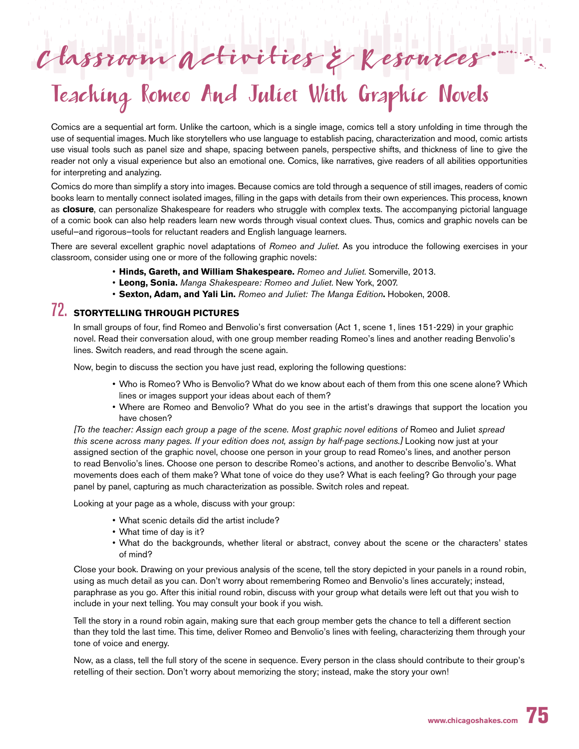# Classroom activities & Resources and

# Teaching Romeo And Juliet With Graphic Novels

Comics are a sequential art form. Unlike the cartoon, which is a single image, comics tell a story unfolding in time through the use of sequential images. Much like storytellers who use language to establish pacing, characterization and mood, comic artists use visual tools such as panel size and shape, spacing between panels, perspective shifts, and thickness of line to give the reader not only a visual experience but also an emotional one. Comics, like narratives, give readers of all abilities opportunities for interpreting and analyzing.

Comics do more than simplify a story into images. Because comics are told through a sequence of still images, readers of comic books learn to mentally connect isolated images, filling in the gaps with details from their own experiences. This process, known as **closure**, can personalize Shakespeare for readers who struggle with complex texts. The accompanying pictorial language of a comic book can also help readers learn new words through visual context clues. Thus, comics and graphic novels can be useful—and rigorous—tools for reluctant readers and English language learners.

There are several excellent graphic novel adaptations of *Romeo and Juliet*. As you introduce the following exercises in your classroom, consider using one or more of the following graphic novels:

- **Hinds, Gareth, and William Shakespeare.** *Romeo and Juliet*. Somerville, 2013.
- **Leong, Sonia.** *Manga Shakespeare: Romeo and Juliet*. New York, 2007.
- **Sexton, Adam, and Yali Lin.** *Romeo and Juliet: The Manga Edition***.** Hoboken, 2008.

# 72. **STORYTELLING THROUGH PICTURES**

In small groups of four, find Romeo and Benvolio's first conversation (Act 1, scene 1, lines 151-229) in your graphic novel. Read their conversation aloud, with one group member reading Romeo's lines and another reading Benvolio's lines. Switch readers, and read through the scene again.

Now, begin to discuss the section you have just read, exploring the following questions:

- Who is Romeo? Who is Benvolio? What do we know about each of them from this one scene alone? Which lines or images support your ideas about each of them?
- Where are Romeo and Benvolio? What do you see in the artist's drawings that support the location you have chosen?

*[To the teacher: Assign each group a page of the scene. Most graphic novel editions of* Romeo and Juliet *spread this scene across many pages. If your edition does not, assign by half-page sections.]* Looking now just at your assigned section of the graphic novel, choose one person in your group to read Romeo's lines, and another person to read Benvolio's lines. Choose one person to describe Romeo's actions, and another to describe Benvolio's. What movements does each of them make? What tone of voice do they use? What is each feeling? Go through your page panel by panel, capturing as much characterization as possible. Switch roles and repeat.

Looking at your page as a whole, discuss with your group:

- What scenic details did the artist include?
- What time of day is it?
- What do the backgrounds, whether literal or abstract, convey about the scene or the characters' states of mind?

Close your book. Drawing on your previous analysis of the scene, tell the story depicted in your panels in a round robin, using as much detail as you can. Don't worry about remembering Romeo and Benvolio's lines accurately; instead, paraphrase as you go. After this initial round robin, discuss with your group what details were left out that you wish to include in your next telling. You may consult your book if you wish.

Tell the story in a round robin again, making sure that each group member gets the chance to tell a different section than they told the last time. This time, deliver Romeo and Benvolio's lines with feeling, characterizing them through your tone of voice and energy.

Now, as a class, tell the full story of the scene in sequence. Every person in the class should contribute to their group's retelling of their section. Don't worry about memorizing the story; instead, make the story your own!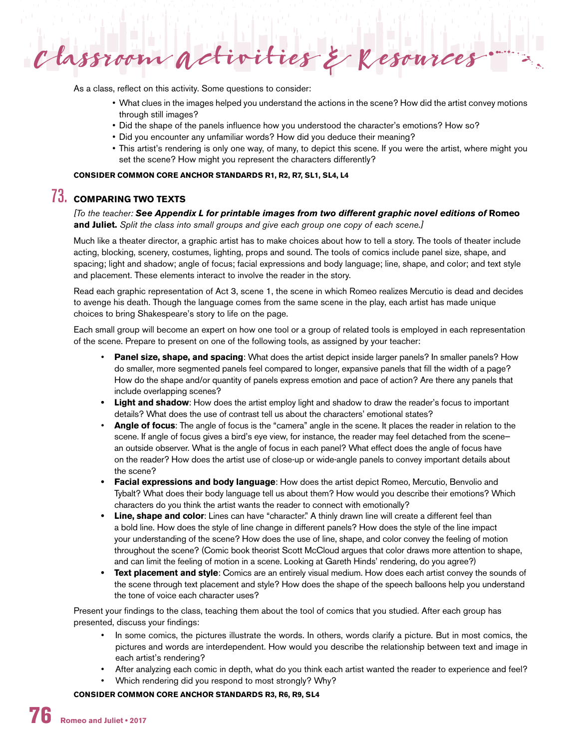

As a class, reflect on this activity. Some questions to consider:

- What clues in the images helped you understand the actions in the scene? How did the artist convey motions through still images?
- Did the shape of the panels influence how you understood the character's emotions? How so?
- Did you encounter any unfamiliar words? How did you deduce their meaning?
- This artist's rendering is only one way, of many, to depict this scene. If you were the artist, where might you set the scene? How might you represent the characters differently?

## **CONSIDER COMMON CORE ANCHOR STANDARDS R1, R2, R7, SL1, SL4, L4**

## 73. **COMPARING TWO TEXTS**

*[To the teacher: See Appendix L for printable images from two different graphic novel editions of* **Romeo and Juliet.** *Split the class into small groups and give each group one copy of each scene.]*

Much like a theater director, a graphic artist has to make choices about how to tell a story. The tools of theater include acting, blocking, scenery, costumes, lighting, props and sound. The tools of comics include panel size, shape, and spacing; light and shadow; angle of focus; facial expressions and body language; line, shape, and color; and text style and placement. These elements interact to involve the reader in the story.

Read each graphic representation of Act 3, scene 1, the scene in which Romeo realizes Mercutio is dead and decides to avenge his death. Though the language comes from the same scene in the play, each artist has made unique choices to bring Shakespeare's story to life on the page.

Each small group will become an expert on how one tool or a group of related tools is employed in each representation of the scene. Prepare to present on one of the following tools, as assigned by your teacher:

- **Panel size, shape, and spacing**: What does the artist depict inside larger panels? In smaller panels? How do smaller, more segmented panels feel compared to longer, expansive panels that fill the width of a page? How do the shape and/or quantity of panels express emotion and pace of action? Are there any panels that include overlapping scenes?
- **• Light and shadow**: How does the artist employ light and shadow to draw the reader's focus to important details? What does the use of contrast tell us about the characters' emotional states?
- **Angle of focus**: The angle of focus is the "camera" angle in the scene. It places the reader in relation to the scene. If angle of focus gives a bird's eye view, for instance, the reader may feel detached from the scenean outside observer. What is the angle of focus in each panel? What effect does the angle of focus have on the reader? How does the artist use of close-up or wide-angle panels to convey important details about the scene?
- **• Facial expressions and body language**: How does the artist depict Romeo, Mercutio, Benvolio and Tybalt? What does their body language tell us about them? How would you describe their emotions? Which characters do you think the artist wants the reader to connect with emotionally?
- **Line, shape and color**: Lines can have "character." A thinly drawn line will create a different feel than a bold line. How does the style of line change in different panels? How does the style of the line impact your understanding of the scene? How does the use of line, shape, and color convey the feeling of motion throughout the scene? (Comic book theorist Scott McCloud argues that color draws more attention to shape, and can limit the feeling of motion in a scene. Looking at Gareth Hinds' rendering, do you agree?)
- **• Text placement and style**: Comics are an entirely visual medium. How does each artist convey the sounds of the scene through text placement and style? How does the shape of the speech balloons help you understand the tone of voice each character uses?

Present your findings to the class, teaching them about the tool of comics that you studied. After each group has presented, discuss your findings:

- In some comics, the pictures illustrate the words. In others, words clarify a picture. But in most comics, the pictures and words are interdependent. How would you describe the relationship between text and image in each artist's rendering?
- After analyzing each comic in depth, what do you think each artist wanted the reader to experience and feel?
- Which rendering did you respond to most strongly? Why?

**CONSIDER COMMON CORE ANCHOR STANDARDS R3, R6, R9, SL4**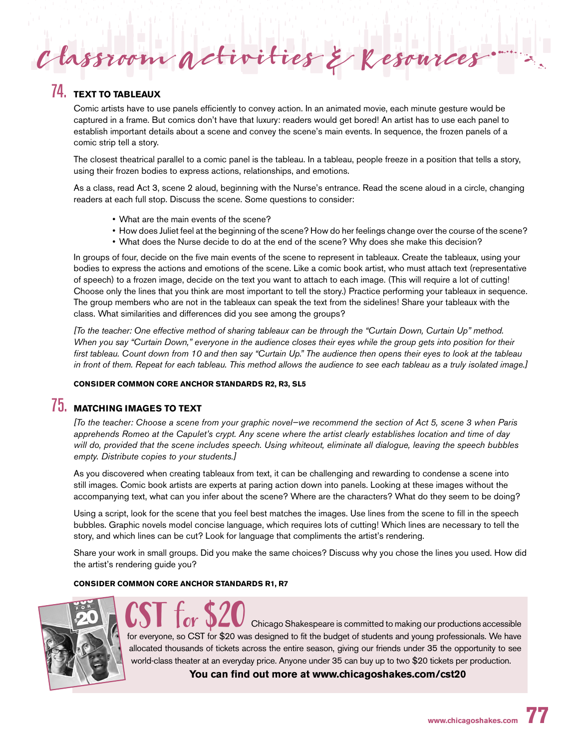## 74. **TEXT TO TABLEAUX**

Comic artists have to use panels efficiently to convey action. In an animated movie, each minute gesture would be captured in a frame. But comics don't have that luxury: readers would get bored! An artist has to use each panel to establish important details about a scene and convey the scene's main events. In sequence, the frozen panels of a comic strip tell a story.

 $\boldsymbol{ \mathcal{C}}$ lassroom activities & Resources

The closest theatrical parallel to a comic panel is the tableau. In a tableau, people freeze in a position that tells a story, using their frozen bodies to express actions, relationships, and emotions.

As a class, read Act 3, scene 2 aloud, beginning with the Nurse's entrance. Read the scene aloud in a circle, changing readers at each full stop. Discuss the scene. Some questions to consider:

- What are the main events of the scene?
- How does Juliet feel at the beginning of the scene? How do her feelings change over the course of the scene?
- What does the Nurse decide to do at the end of the scene? Why does she make this decision?

In groups of four, decide on the five main events of the scene to represent in tableaux. Create the tableaux, using your bodies to express the actions and emotions of the scene. Like a comic book artist, who must attach text (representative of speech) to a frozen image, decide on the text you want to attach to each image. (This will require a lot of cutting! Choose only the lines that you think are most important to tell the story.) Practice performing your tableaux in sequence. The group members who are not in the tableaux can speak the text from the sidelines! Share your tableaux with the class. What similarities and differences did you see among the groups?

*[To the teacher: One effective method of sharing tableaux can be through the "Curtain Down, Curtain Up" method. When you say "Curtain Down," everyone in the audience closes their eyes while the group gets into position for their first tableau. Count down from 10 and then say "Curtain Up." The audience then opens their eyes to look at the tableau in front of them. Repeat for each tableau. This method allows the audience to see each tableau as a truly isolated image.]*

## **CONSIDER COMMON CORE ANCHOR STANDARDS R2, R3, SL5**

# 75. **MATCHING IMAGES TO TEXT**

*[To the teacher: Choose a scene from your graphic novel—we recommend the section of Act 5, scene 3 when Paris apprehends Romeo at the Capulet's crypt. Any scene where the artist clearly establishes location and time of day will do, provided that the scene includes speech. Using whiteout, eliminate all dialogue, leaving the speech bubbles empty. Distribute copies to your students.]*

As you discovered when creating tableaux from text, it can be challenging and rewarding to condense a scene into still images. Comic book artists are experts at paring action down into panels. Looking at these images without the accompanying text, what can you infer about the scene? Where are the characters? What do they seem to be doing?

Using a script, look for the scene that you feel best matches the images. Use lines from the scene to fill in the speech bubbles. Graphic novels model concise language, which requires lots of cutting! Which lines are necessary to tell the story, and which lines can be cut? Look for language that compliments the artist's rendering.

Share your work in small groups. Did you make the same choices? Discuss why you chose the lines you used. How did the artist's rendering guide you?

#### **CONSIDER COMMON CORE ANCHOR STANDARDS R1, R7**



**CST for \$20** Chicago Shakespeare is committed to making our productions accessible for everyone, so CST for \$20 was designed to fit the budget of students and young professionals. We have allocated thousands of tickets across the entire season, giving our friends under 35 the opportunity to see world-class theater at an everyday price. Anyone under 35 can buy up to two \$20 tickets per production.

**You can find out more at www.chicagoshakes.com/cst20**